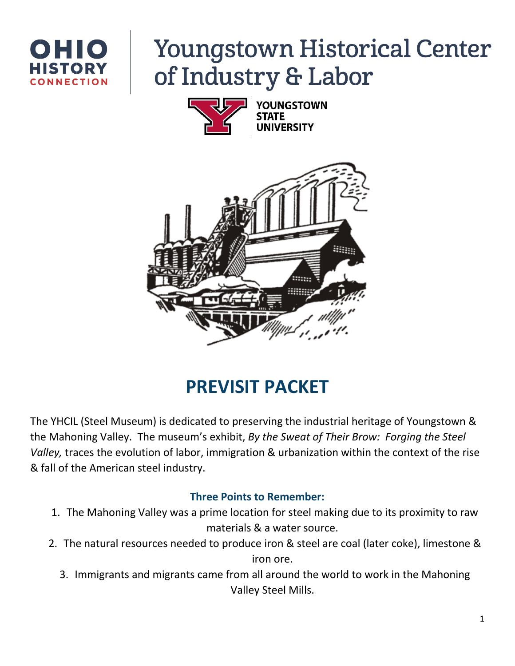

# **Youngstown Historical Center** of Industry & Labor





# **PREVISIT PACKET**

The YHCIL (Steel Museum) is dedicated to preserving the industrial heritage of Youngstown & the Mahoning Valley. The museum's exhibit, *By the Sweat of Their Brow: Forging the Steel Valley,* traces the evolution of labor, immigration & urbanization within the context of the rise & fall of the American steel industry.

# **Three Points to Remember:**

- 1. The Mahoning Valley was a prime location for steel making due to its proximity to raw materials & a water source.
- 2. The natural resources needed to produce iron & steel are coal (later coke), limestone & iron ore.
	- 3. Immigrants and migrants came from all around the world to work in the Mahoning Valley Steel Mills.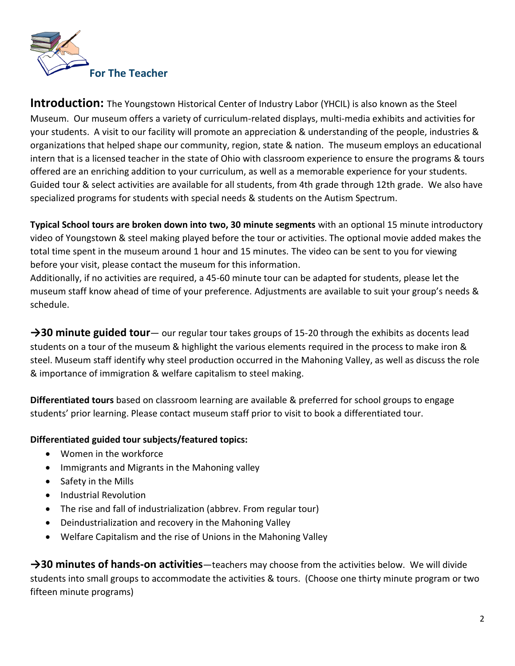

**Introduction:** The Youngstown Historical Center of Industry Labor (YHCIL) is also known as the Steel Museum. Our museum offers a variety of curriculum-related displays, multi-media exhibits and activities for your students. A visit to our facility will promote an appreciation & understanding of the people, industries & organizations that helped shape our community, region, state & nation. The museum employs an educational intern that is a licensed teacher in the state of Ohio with classroom experience to ensure the programs & tours offered are an enriching addition to your curriculum, as well as a memorable experience for your students. Guided tour & select activities are available for all students, from 4th grade through 12th grade. We also have specialized programs for students with special needs & students on the Autism Spectrum.

**Typical School tours are broken down into two, 30 minute segments** with an optional 15 minute introductory video of Youngstown & steel making played before the tour or activities. The optional movie added makes the total time spent in the museum around 1 hour and 15 minutes. The video can be sent to you for viewing before your visit, please contact the museum for this information.

Additionally, if no activities are required, a 45-60 minute tour can be adapted for students, please let the museum staff know ahead of time of your preference. Adjustments are available to suit your group's needs & schedule.

→30 minute guided tour— our regular tour takes groups of 15-20 through the exhibits as docents lead students on a tour of the museum & highlight the various elements required in the process to make iron & steel. Museum staff identify why steel production occurred in the Mahoning Valley, as well as discuss the role & importance of immigration & welfare capitalism to steel making.

**Differentiated tours** based on classroom learning are available & preferred for school groups to engage students' prior learning. Please contact museum staff prior to visit to book a differentiated tour.

#### **Differentiated guided tour subjects/featured topics:**

- Women in the workforce
- Immigrants and Migrants in the Mahoning valley
- Safety in the Mills
- Industrial Revolution
- The rise and fall of industrialization (abbrev. From regular tour)
- Deindustrialization and recovery in the Mahoning Valley
- Welfare Capitalism and the rise of Unions in the Mahoning Valley

**→30 minutes of hands-on activities**—teachers may choose from the activities below. We will divide students into small groups to accommodate the activities & tours. (Choose one thirty minute program or two fifteen minute programs)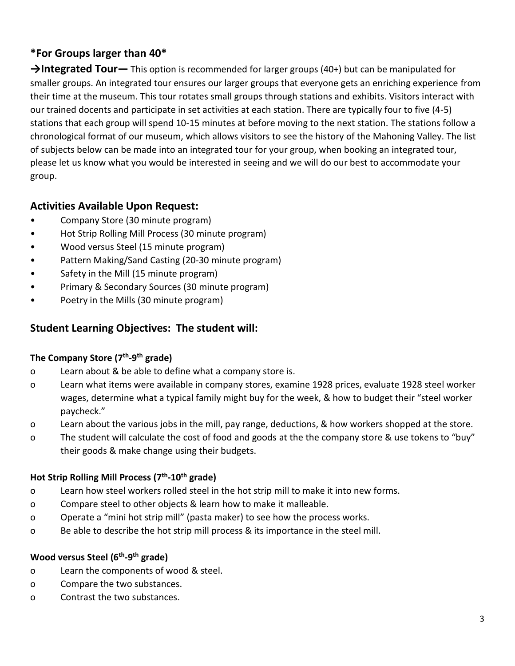# **\*For Groups larger than 40\***

**→Integrated Tour—** This option is recommended for larger groups (40+) but can be manipulated for smaller groups. An integrated tour ensures our larger groups that everyone gets an enriching experience from their time at the museum. This tour rotates small groups through stations and exhibits. Visitors interact with our trained docents and participate in set activities at each station. There are typically four to five (4-5) stations that each group will spend 10-15 minutes at before moving to the next station. The stations follow a chronological format of our museum, which allows visitors to see the history of the Mahoning Valley. The list of subjects below can be made into an integrated tour for your group, when booking an integrated tour, please let us know what you would be interested in seeing and we will do our best to accommodate your group.

# **Activities Available Upon Request:**

- Company Store (30 minute program)
- Hot Strip Rolling Mill Process (30 minute program)
- Wood versus Steel (15 minute program)
- Pattern Making/Sand Casting (20-30 minute program)
- Safety in the Mill (15 minute program)
- Primary & Secondary Sources (30 minute program)
- Poetry in the Mills (30 minute program)

### **Student Learning Objectives: The student will:**

#### **The Company Store (7th -9 th grade)**

- o Learn about & be able to define what a company store is.
- o Learn what items were available in company stores, examine 1928 prices, evaluate 1928 steel worker wages, determine what a typical family might buy for the week, & how to budget their "steel worker paycheck."
- o Learn about the various jobs in the mill, pay range, deductions, & how workers shopped at the store.
- o The student will calculate the cost of food and goods at the the company store & use tokens to "buy" their goods & make change using their budgets.

#### **Hot Strip Rolling Mill Process (7th -10th grade)**

- o Learn how steel workers rolled steel in the hot strip mill to make it into new forms.
- o Compare steel to other objects & learn how to make it malleable.
- o Operate a "mini hot strip mill" (pasta maker) to see how the process works.
- o Be able to describe the hot strip mill process & its importance in the steel mill.

#### **Wood versus Steel (6th -9 th grade)**

- o Learn the components of wood & steel.
- o Compare the two substances.
- o Contrast the two substances.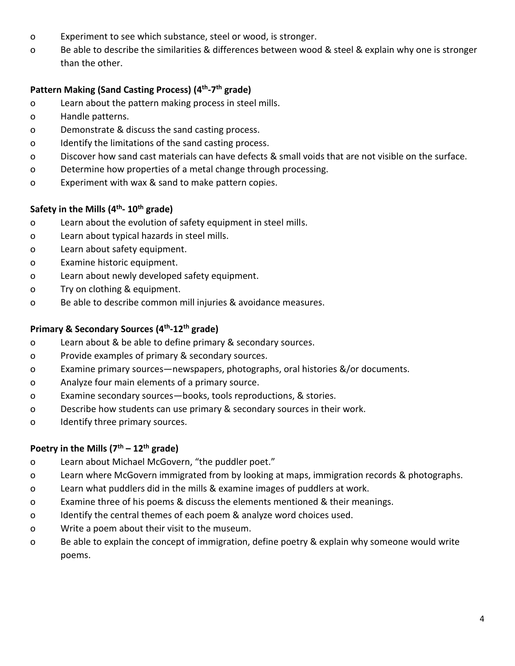- o Experiment to see which substance, steel or wood, is stronger.
- o Be able to describe the similarities & differences between wood & steel & explain why one is stronger than the other.

#### **Pattern Making (Sand Casting Process) (4th -7 th grade)**

- o Learn about the pattern making process in steel mills.
- o Handle patterns.
- o Demonstrate & discuss the sand casting process.
- o Identify the limitations of the sand casting process.
- o Discover how sand cast materials can have defects & small voids that are not visible on the surface.
- o Determine how properties of a metal change through processing.
- o Experiment with wax & sand to make pattern copies.

#### **Safety in the Mills (4th - 10th grade)**

- o Learn about the evolution of safety equipment in steel mills.
- o Learn about typical hazards in steel mills.
- o Learn about safety equipment.
- o Examine historic equipment.
- o Learn about newly developed safety equipment.
- o Try on clothing & equipment.
- o Be able to describe common mill injuries & avoidance measures.

#### **Primary & Secondary Sources (4th -12th grade)**

- o Learn about & be able to define primary & secondary sources.
- o Provide examples of primary & secondary sources.
- o Examine primary sources—newspapers, photographs, oral histories &/or documents.
- o Analyze four main elements of a primary source.
- o Examine secondary sources—books, tools reproductions, & stories.
- o Describe how students can use primary & secondary sources in their work.
- o Identify three primary sources.

#### **Poetry in the Mills (7th – 12th grade)**

- o Learn about Michael McGovern, "the puddler poet."
- o Learn where McGovern immigrated from by looking at maps, immigration records & photographs.
- o Learn what puddlers did in the mills & examine images of puddlers at work.
- o Examine three of his poems & discuss the elements mentioned & their meanings.
- o Identify the central themes of each poem & analyze word choices used.
- o Write a poem about their visit to the museum.
- o Be able to explain the concept of immigration, define poetry & explain why someone would write poems.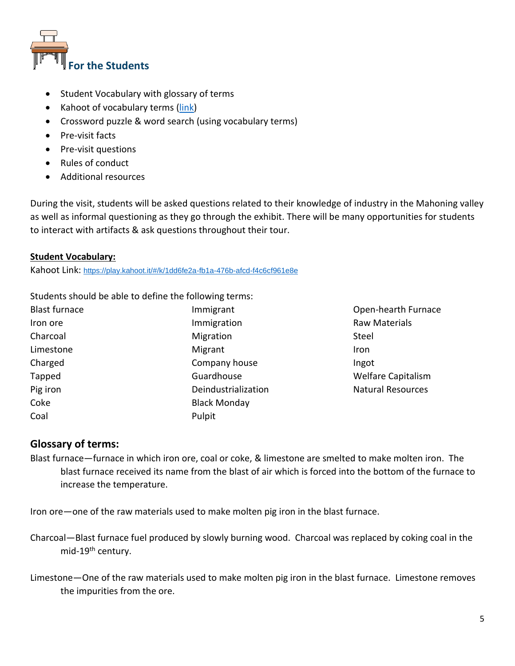

- Student Vocabulary with glossary of terms
- Kahoot of vocabulary terms [\(link\)](https://play.kahoot.it/#/k/1dd6fe2a-fb1a-476b-afcd-f4c6cf961e8e)
- Crossword puzzle & word search (using vocabulary terms)
- Pre-visit facts
- Pre-visit questions
- Rules of conduct
- Additional resources

During the visit, students will be asked questions related to their knowledge of industry in the Mahoning valley as well as informal questioning as they go through the exhibit. There will be many opportunities for students to interact with artifacts & ask questions throughout their tour.

#### **Student Vocabulary:**

Kahoot Link: <https://play.kahoot.it/#/k/1dd6fe2a-fb1a-476b-afcd-f4c6cf961e8e>

Students should be able to define the following terms:

| <b>Blast furnace</b> | Immigrant           |
|----------------------|---------------------|
| Iron ore             | Immigration         |
| Charcoal             | Migration           |
| Limestone            | Migrant             |
| Charged              | Company house       |
| Tapped               | Guardhouse          |
| Pig iron             | Deindustrialization |
| Coke                 | <b>Black Monday</b> |
| Coal                 | Pulpit              |

Open-hearth Furnace Raw Materials Steel Iron Ingot Welfare Capitalism Natural Resources

#### **Glossary of terms:**

Blast furnace—furnace in which iron ore, coal or coke, & limestone are smelted to make molten iron. The blast furnace received its name from the blast of air which is forced into the bottom of the furnace to increase the temperature.

Iron ore—one of the raw materials used to make molten pig iron in the blast furnace.

- Charcoal—Blast furnace fuel produced by slowly burning wood. Charcoal was replaced by coking coal in the mid-19th century.
- Limestone—One of the raw materials used to make molten pig iron in the blast furnace. Limestone removes the impurities from the ore.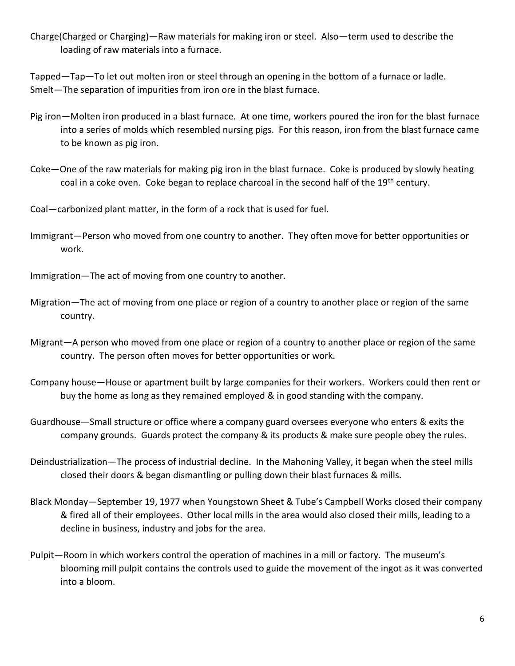Charge(Charged or Charging)—Raw materials for making iron or steel. Also—term used to describe the loading of raw materials into a furnace.

Tapped—Tap—To let out molten iron or steel through an opening in the bottom of a furnace or ladle. Smelt—The separation of impurities from iron ore in the blast furnace.

- Pig iron—Molten iron produced in a blast furnace. At one time, workers poured the iron for the blast furnace into a series of molds which resembled nursing pigs. For this reason, iron from the blast furnace came to be known as pig iron.
- Coke—One of the raw materials for making pig iron in the blast furnace. Coke is produced by slowly heating coal in a coke oven. Coke began to replace charcoal in the second half of the 19<sup>th</sup> century.
- Coal—carbonized plant matter, in the form of a rock that is used for fuel.
- Immigrant—Person who moved from one country to another. They often move for better opportunities or work.
- Immigration—The act of moving from one country to another.
- Migration—The act of moving from one place or region of a country to another place or region of the same country.
- Migrant—A person who moved from one place or region of a country to another place or region of the same country. The person often moves for better opportunities or work.
- Company house—House or apartment built by large companies for their workers. Workers could then rent or buy the home as long as they remained employed & in good standing with the company.
- Guardhouse—Small structure or office where a company guard oversees everyone who enters & exits the company grounds. Guards protect the company & its products & make sure people obey the rules.
- Deindustrialization—The process of industrial decline. In the Mahoning Valley, it began when the steel mills closed their doors & began dismantling or pulling down their blast furnaces & mills.
- Black Monday—September 19, 1977 when Youngstown Sheet & Tube's Campbell Works closed their company & fired all of their employees. Other local mills in the area would also closed their mills, leading to a decline in business, industry and jobs for the area.
- Pulpit—Room in which workers control the operation of machines in a mill or factory. The museum's blooming mill pulpit contains the controls used to guide the movement of the ingot as it was converted into a bloom.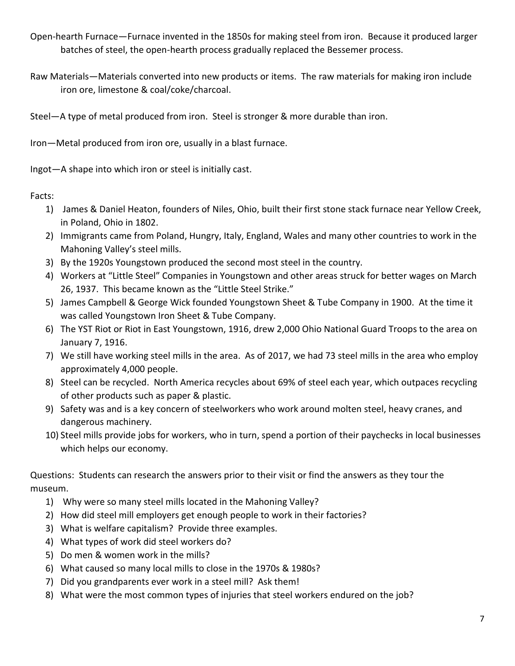Open-hearth Furnace—Furnace invented in the 1850s for making steel from iron. Because it produced larger batches of steel, the open-hearth process gradually replaced the Bessemer process.

Raw Materials—Materials converted into new products or items. The raw materials for making iron include iron ore, limestone & coal/coke/charcoal.

Steel—A type of metal produced from iron. Steel is stronger & more durable than iron.

Iron—Metal produced from iron ore, usually in a blast furnace.

Ingot—A shape into which iron or steel is initially cast.

Facts:

- 1) James & Daniel Heaton, founders of Niles, Ohio, built their first stone stack furnace near Yellow Creek, in Poland, Ohio in 1802.
- 2) Immigrants came from Poland, Hungry, Italy, England, Wales and many other countries to work in the Mahoning Valley's steel mills.
- 3) By the 1920s Youngstown produced the second most steel in the country.
- 4) Workers at "Little Steel" Companies in Youngstown and other areas struck for better wages on March 26, 1937. This became known as the "Little Steel Strike."
- 5) James Campbell & George Wick founded Youngstown Sheet & Tube Company in 1900. At the time it was called Youngstown Iron Sheet & Tube Company.
- 6) The YST Riot or Riot in East Youngstown, 1916, drew 2,000 Ohio National Guard Troops to the area on January 7, 1916.
- 7) We still have working steel mills in the area. As of 2017, we had 73 steel mills in the area who employ approximately 4,000 people.
- 8) Steel can be recycled. North America recycles about 69% of steel each year, which outpaces recycling of other products such as paper & plastic.
- 9) Safety was and is a key concern of steelworkers who work around molten steel, heavy cranes, and dangerous machinery.
- 10) Steel mills provide jobs for workers, who in turn, spend a portion of their paychecks in local businesses which helps our economy.

Questions: Students can research the answers prior to their visit or find the answers as they tour the museum.

- 1) Why were so many steel mills located in the Mahoning Valley?
- 2) How did steel mill employers get enough people to work in their factories?
- 3) What is welfare capitalism? Provide three examples.
- 4) What types of work did steel workers do?
- 5) Do men & women work in the mills?
- 6) What caused so many local mills to close in the 1970s & 1980s?
- 7) Did you grandparents ever work in a steel mill? Ask them!
- 8) What were the most common types of injuries that steel workers endured on the job?